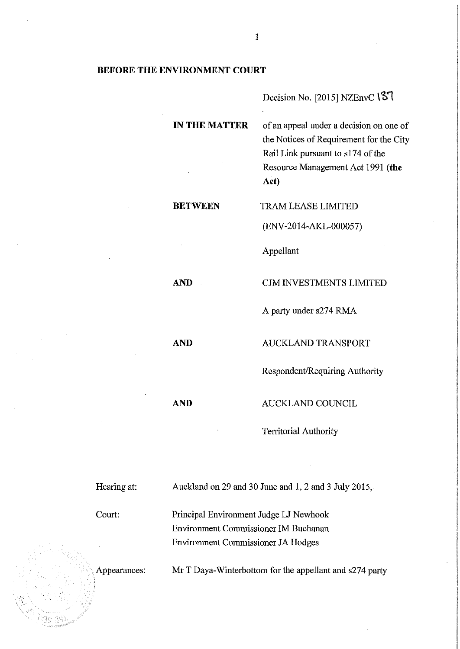# **BEFORE THE ENVIRONMENT COURT**

Decision No. [2015] NZEnvC 137

**IN THE MATTER** of an appeal under a decision on one of the Notices of Requirement for the City Rail Link pursuant to sl74 of the Resource Management Act 1991 (the Act)

**BETWEEN** TRAM LEASE LIMITED

(ENV-2014-AKL-000057)

Appellant

**AND CJM INVESTMENTS LIMITED** 

**AND** AUCKLAND TRANSPORT

A party under s274 RMA

Respondent/Requiring Authority

**AND** AUCKLAND COUNCIL

Territorial Authority

| Hearing at:  | Auckland on 29 and 30 June and 1, 2 and 3 July 2015,    |
|--------------|---------------------------------------------------------|
| Court:       | Principal Environment Judge LJ Newhook                  |
|              | Environment Commissioner IM Buchanan                    |
|              | Environment Commissioner JA Hodges                      |
| Appearances: | Mr T Daya-Winterbottom for the appellant and s274 party |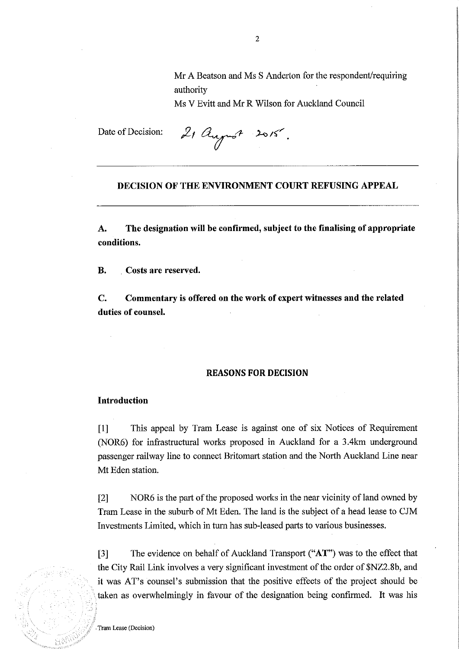Mr A Beatson and Ms S Anderton for the respondent/requiring authority

Ms V Evitt and Mr R Wilson for Auckland Council

Date of Decision:

21 august 2015.

## DECISION OF THE ENVIRONMENT COURT REFUSING APPEAL

A. The designation will be confirmed, subject to the finalising of appropriate conditions.

B. Costs are reserved.

C. Commentary is offered on the work of expert witnesses and the related duties of counsel.

#### REASONS FOR DECISION

#### Introduction

[1] This appeal by Tram Lease is against one of six Notices of Requirement (NOR6) for infrastructural works proposed in Auckland for a 3.4km underground passenger railway line to connect Britomart station and the North Auckland Line near Mt Eden station.

[2] NOR6 is the part of the proposed works in the near vicinity of land owned by Tram Lease in the suburb of Mt Eden. The land is the subject of a head lease to CJM Investments Limited, which in turn has sub-leased parts to various businesses.

[3] The evidence on behalf of Auckland Transport ("AT") was to the effect that the City Rail Link involves a very significant investment of the order of \$NZ2.8b, and it was AT's counsel's submission that the positive effects of the project should be taken as overwhelmingly in favour of the designation being confirmed. It was his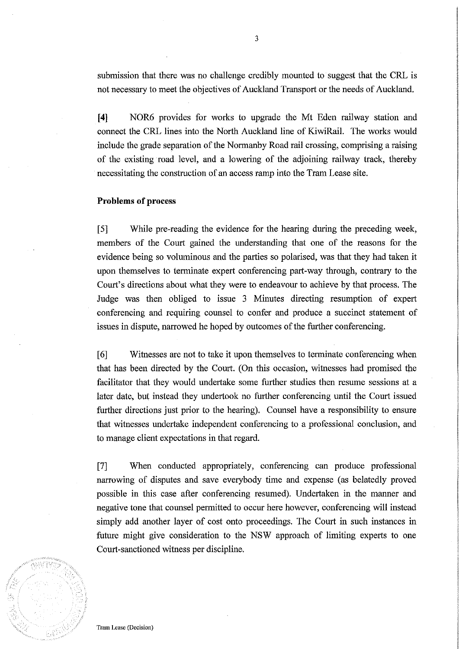submission that there was no challenge credibly mounted to suggest that the CRL is not necessary to meet the objectives of Auckland Transport or the needs of Auckland.

**[4]** NOR6 provides for works to upgrade the Mt Eden railway station and connect the CRL lines into the North Auckland line of KiwiRail. The works would include the grade separation of the Normanby Road rail crossing, comprising a raising of the existing road level, and a lowering of the adjoining railway track, thereby necessitating the construction of an access ramp into the Tram Lease site.

# **Problems of process**

[5] While pre-reading the evidence for the hearing during the preceding week, members of the Court gained the understanding that one of the reasons for the evidence being so voluminous and the parties so polarised, was that they had taken it upon themselves to terminate expert conferencing part-way through, contrary to the Court's directions about what they were to endeavour to achieve by that process. The Judge was then obliged to issue 3 Minutes directing resumption of expert conferencing and requiring counsel to confer and produce a succinct statement of issues in dispute, narrowed he hoped by outcomes of the further conferencing.

[6] Witnesses are not to take it upon themselves to terminate conferencing when that has been directed by the Court. (On this occasion, witnesses had promised the facilitator that they would undertake some further studies then resume sessions at a later date, but instead they undertook no further conferencing until the Court issued further directions just prior to the hearing). Counsel have a responsibility to ensure that witnesses undertake independent conferencing to a professional conclusion, and to manage client expectations in that regard.

[7] When conducted appropriately, conferencing can produce professional narrowing of disputes and save everybody time and expense (as belatedly proved possible in this case after conferencing resumed). Undertaken in the manner and negative tone that counsel permitted to occur here however, conferencing will instead simply add another layer of cost onto proceedings. The Court in such instances in future might give consideration to the NSW approach of limiting experts to one Court-sanctioned witness per discipline.

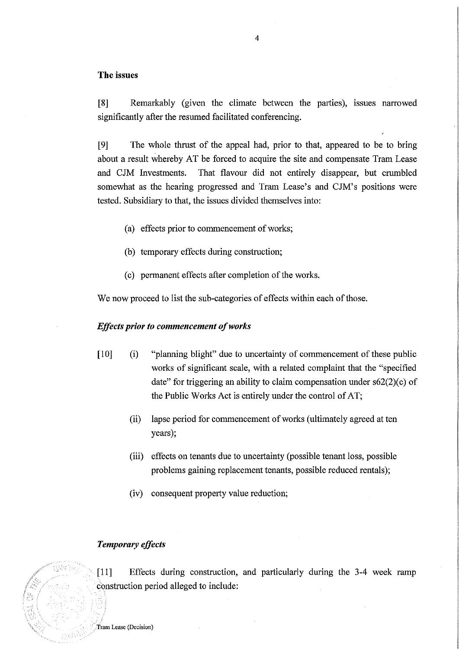# **The** issues

[8] Remarkably (given the climate between the parties), issues narrowed significantly after the resumed facilitated conferencing.

**INSURANCESSORIES International International** 

International Company of Texas

[9] The whole thrust of the appeal had, prior to that, appeared to be to bring about a result whereby AT be forced to acquire the site and compensate Tram Lease and CJM Investments. That flavour did not entirely disappear, but crumbled somewhat as the hearing progressed and Tram Lease's and CJM's positions were tested. Subsidiary to that, the issues divided themselves into:

- (a) effects prior to commencement of works;
- (b) temporary effects during construction;
- (c) permanent effects after completion of the works.

We now proceed to list the sub-categories of effects within each of those.

# *Effects prior to commencement of works*

- [10] (i) "planning blight" due to uncertainty of commencement of these public works of significant scale, with a related complaint that the "specified date" for triggering an ability to claim compensation under  $s62(2)(c)$  of the Public Works Act is entirely under the control of AT;
	- (ii) lapse period for commencement of works (ultimately agreed at ten years);
	- (iii) effects on tenants due to uncertainty (possible tenant loss, possible problems gaining replacement tenants, possible reduced rentals);
	- (iv) consequent property value reduction;

# *Temporary effects*

[11] Effects during construction, and particularly during the 3-4 week ramp construction period alleged to include:

**Tram** Lease (Decision)

NNTH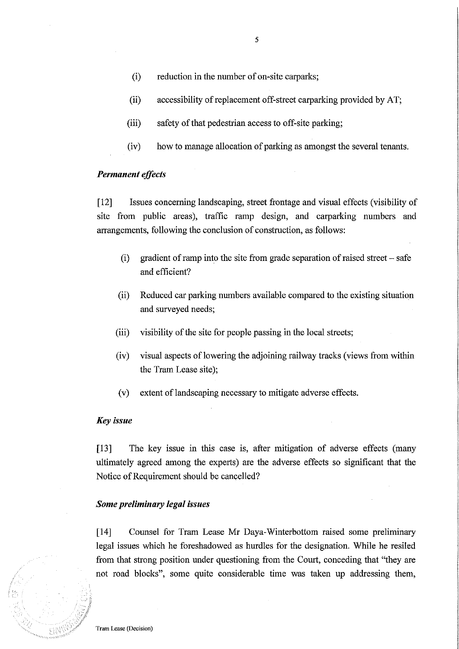- (i) reduction in the number of on-site carparks;
- (ii) accessibility of replacement off-street carparking provided by AT;
- (iii) safety of that pedestrian access to off-site parking;
- (iv) how to manage allocation of parking as amongst the several tenants.

# *Permanent effects*

[12] Issues concerning landscaping, street frontage and visual effects (visibility of site from public areas), traffic ramp design, and carparking numbers and arrangements, following the conclusion of construction, as follows:

- (i) gradient of ramp into the site from grade separation of raised street  $-$  safe and efficient?
- (ii) Reduced car parking numbers available compared to the existing situation and surveyed needs;
- (iii) visibility of the site for people passing in the local streets;
- (iv) visual aspects of lowering the adjoining railway tracks (views from within the Tram Lease site);
- (v) extent of landscaping necessary to mitigate adverse effects.

# *Key issue*

[13] The key issue in this case is, after mitigation of adverse effects (many ultimately agreed among the experts) are the adverse effects so significant that the Notice of Requirement should be cancelled?

# *Some preliminary legal issues*

[14] Counsel for Tram Lease Mr Daya-Winterbottom raised some preliminary legal issues which he foreshadowed as hurdles for the designation. While he resiled from that strong position under questioning from the Court, conceding that "they are not road blocks", some quite considerable time was taken up addressing them,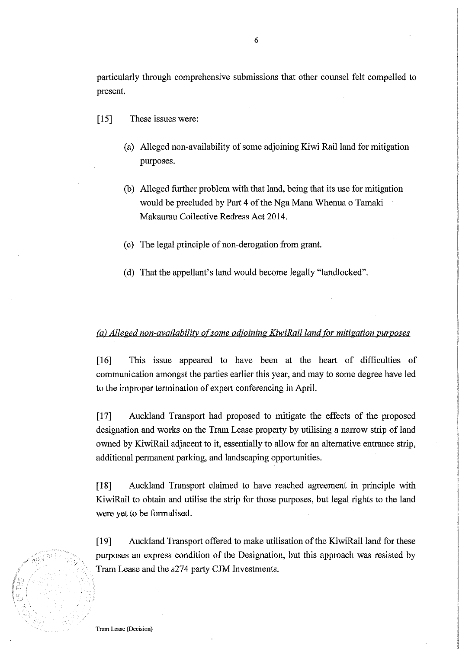particularly through comprehensive submissions that other counsel felt compelled to present.

- [15] These issues were:
	- (a) Alleged non-availability of some adjoining Kiwi Rail land for mitigation purposes.
	- (b) Alleged further problem with that land, being that its use for mitigation would be precluded by Part 4 of the Nga Mana Whenua o Tamaki Makaurau Collective Redress Act 2014.
	- (c) The legal principle of non-derogation from grant.
	- (d) That the appellant's land would become legally "landlocked".

# *(a) Alleged non-availability of some adjoining KiwiRail land for mitigation purposes*

[16] This issue appeared to have been at the heart of difficulties of communication amongst the parties earlier this year, and may to some degree have led to the improper termination of expert conferencing in April.

[17] Auckland Transport had proposed to mitigate the effects of the proposed designation and works on the Tram Lease property by utilising a narrow strip of land owned by KiwiRail adjacent to it, essentially to allow for an alternative entrance strip, additional permanent parking, and landscaping opportunities.

[18] Auckland Transport claimed to have reached agreement in principle with KiwiRail to obtain and utilise the strip for those purposes, but legal rights to the land were yet to be formalised.

[19] Auckland Transport offered to make utilisation of the KiwiRail land for these purposes an express condition of the Designation, but this approach was resisted by Tram Lease and the s274 party CJM Investments.

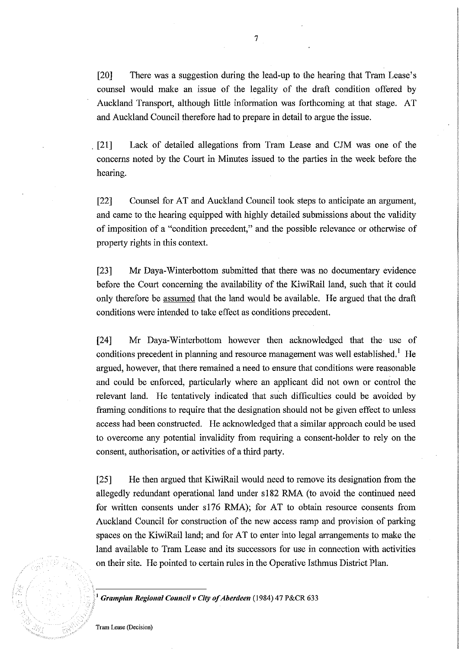[20] There was a suggestion during the lead-up to the hearing that Tram Lease's counsel would make an issue of the legality of the draft condition offered by Auckland Transport, although little information was forthcoming at that stage. AT and Auckland Council therefore had to prepare in detail to argue the issue .

. [21] Lack of detailed allegations from Tram Lease and ClM was one of the concerns noted by the Court in Minutes issued to the parties in the week before the hearing.

[22] Counsel for AT and Auckland Council took steps to anticipate an argument, and came to the hearing equipped with highly detailed submissions about the validity of imposition of a "condition precedent," and the possible relevance or otherwise of property rights in this context.

[23] Mr Daya-Winterbottom submitted that there was no documentary evidence before the Court concerning the availability of the KiwiRail land, such that it could only therefore be assumed that the land would be available. He argued that the draft conditions were intended to take effect as conditions precedent.

[24] Mr Daya-Winterbottom however then acknowledged that the use of conditions precedent in planning and resource management was well established.<sup>1</sup> He argued, however, that there remained a need to ensure that conditions were reasonable and could be enforced, particularly where an applicant did not own or control the relevant land. He tentatively indicated that such difficulties could be avoided by framing conditions to require that the designation should not be given effect to unless access had been constructed. He acknowledged that a similar approach could be used to overcome any potential invalidity from requiring a consent-holder to rely on the consent, authorisation, or activities of a third party.

[25] He then argued that KiwiRail would need to remove its designation from the allegedly redundant operational land under s182 RMA (to avoid the continued need for written consents under s176 RMA); for AT to obtain resource consents from Auckland Council for construction of the new access ramp and provision of parking spaces on the KiwiRail land; and for AT to enter into legal arrangements to make the land available to Tram Lease and its successors for use in connection with activities on their site. He pointed to certain rules in the Operative Isthmus District Plan.

<sup>J</sup>*Grampian Regional Council v City of Aberdeen* (1984) 47 P&CR 633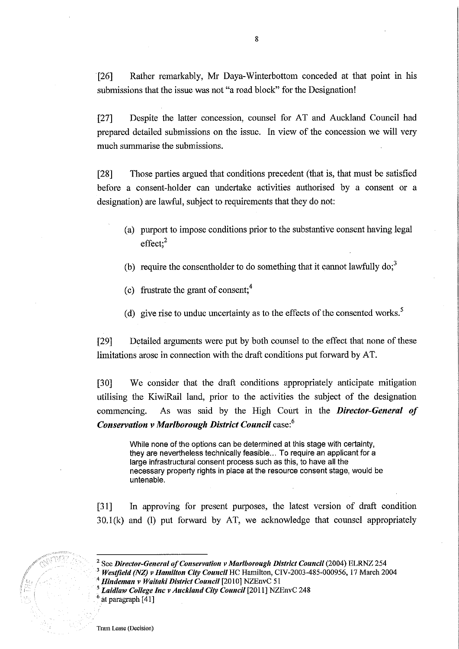[26] Rather remarkably, Mr Daya-Winterbottom conceded at that point in his submissions that the issue was not "a road block" for the Designation!

[27] Despite the latter concession, counsel for AT and Auckland Council had prepared detailed submissions on the issue. In view of the concession we will very much summarise the submissions.

[28] Those parties argued that conditions precedent (that is, that must be satisfied before a consent-holder can undertake activities authorised by a consent or a designation) are lawful, subject to requirements that they do not:

- (a) purport to impose conditions prior to the substantive consent having legal  $effect;$ <sup>2</sup>
- (b) require the consentholder to do something that it cannot lawfully  $\text{do;}^3$
- (c) frustrate the grant of consent; $<sup>4</sup>$ </sup>
- (d) give rise to undue uncertainty as to the effects of the consented works.<sup>5</sup>

[29] Detailed arguments were put by both counsel to the effect that none of these limitations arose in connection with the draft conditions put forward by AT.

[30] We consider that the draft conditions appropriately anticipate mitigation utilising the KiwiRail land, prior to the activities the subject of the designation commencing. As was said by the High Court in the *Director-General of Conservation v Marlborough District Council* case:<sup>6</sup>

While none of the options can be determined at this stage with certainty, they are nevertheless technically feasible ... To require an applicant for a large infrastructural consent process such as this, to have all the necessary property rights in place at the resource consent stage, would be untenable.

[31] In approving for present purposes, the latest version of draft condition 30.1(k) and (1) put forward by AT, we acknowledge that counsel appropriately

See *Director-General of Conservation v Marlborough District Council* (2004) ELRNZ 254

<sup>3</sup>*Westfield (NZ) v Hamilton City Council* HC Hamilton, CIV-2003-485-000956, 17 March 2004 <sup>4</sup>*Hindeman v Waitaki District Council* [2010] NZEnvC 51

*<sup>5</sup> Laidlaw College Inc v Auckland City Council* [2011] NZEnvC 248

at paragraph [41]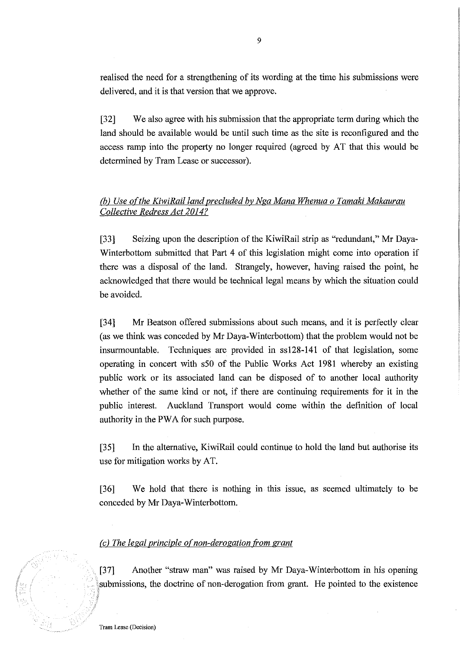realised the need for a strengthening of its wording at the time his submissions were delivered, and it is that version that we approve.

[32] We also agree with his submission that the appropriate term during which the land should be available would be until such time as the site is reconfigured and the access ramp into the property no longer required (agreed by AT that this would be determined by Tram Lease or successor).

# (b) Use of the KiwiRail land precluded by Nga Mana Whenua o Tamaki Makaurau *Collective Redress Act 2014?*

[33] Seizing upon the description of the KiwiRail strip as "redundant," Mr Daya-Winterbottom submitted that Part 4 of this legislation might come into operation if there was a disposal of the land. Strangely, however, having raised the point, he acknowledged that there would be technical legal means by which the situation could be avoided.

[34] Mr Beatson offered submissions about such means, and it is perfectly clear (as we think was conceded by Mr Daya-Winterbottom) that the problem would not be insurmountable. Techniques are provided in ss128-141 of that legislation, some operating in concert with s50 of the Public Works Act 1981 whereby an existing public work or its associated land can be disposed of to another local authority whether of the same kind or not, if there are continuing requirements for it in the public interest. Auckland Transport would come within the definition of local authority in the PWA for such purpose.

[35] In the alternative, KiwiRail could continue to hold the land but authorise its use for mitigation works by AT.

[36] We hold that there is nothing in this issue, as seemed ultimately to be conceded by Mr Daya-Winterbottom.

# *(c)* The legal principle of non-derogation from grant

[37] Another "straw man" was raised by Mr Daya-Winterbottom in his opening submissions, the doctrine of non-derogation from grant. He pointed to the existence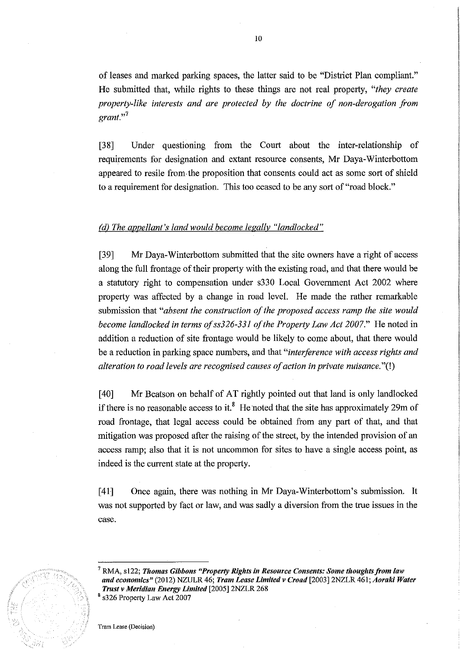of leases and marked parking spaces, the latter said to be "District Plan compliant." He submitted that, while rights to these things are not real property, *"they create property-like interests and are protected by the doctrine of non-derogation from grant.,,7* 

[38] Under questioning from the Court about the inter-relationship of requirements for designation and extant resource consents, Mr Daya-Winterbottom appeared to resile from the proposition that consents could act as some sort of shield to a requirement for designation. This too ceased to be any sort of "road block."

# *(d) The appellant's land would become legally "landlocked"*

[39] Mr Daya-Winterbottom submitted that the site owners have a right of access along the full frontage of their property with the existing road, and that there would be a statutory right to compensation under s330 Local Government Act 2002 where property was affected by a change in road level. He made the rather remarkable submission that *"absent the construction of the proposed access ramp the site would become landlocked in terms of ss326-331 of the Property Law Act 2007.*" He noted in addition a reduction of site frontage would be likely to come about, that there would be a reduction in parking space numbers, and that *"interference with access rights and alteration to road levels are recognised causes of action in private nuisance.* "(!)

[40] Mr Beatson on behalf of AT rightly pointed out that land is only landlocked if there is no reasonable access to it.<sup>8</sup> He noted that the site has approximately 29m of road frontage, that legal access could be obtained from any part of that, and that mitigation was proposed after the raising of the street, by the intended provision of an access ramp; also that it is not uncommon for sites to have a single access point, as indeed is the current state at the property.

[41] Once again, there was nothing in Mr Daya-Winterbottom's submission. It was not supported by fact or law, and was sadly a diversion from the true issues in the case.



<sup>&</sup>lt;sup>7</sup> RMA, s122; *Thomas Gibbons "Property Rights in Resource Consents: Some thoughts from law and economics"* (2012) NZULR 46; *Tram Lease Limited v Croad* [2003)2NZLR 461; *Aoraki Water Trust v Meridian Energy Limited* [2005) 2NZLR 268 8 s326 Property Law Act 2007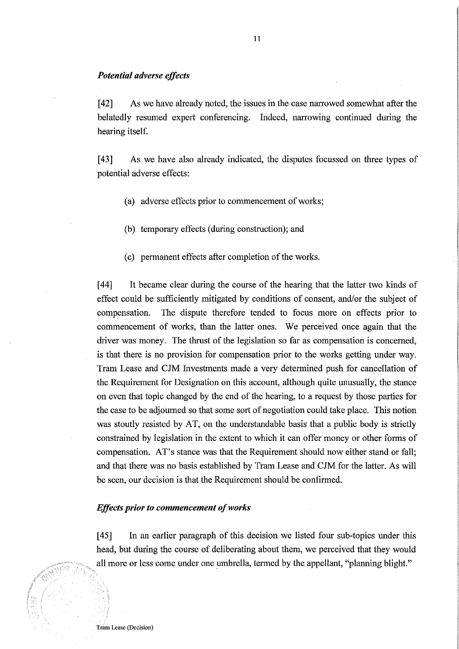# *Potential adverse effects*

[42] As we have already noted, the issues in the case narrowed somewhat after the belatedly resumed expert conferencing. Indeed, narrowing continued during the hearing itself.

[43] As we have also already indicated, the disputes focussed on three types of potential adverse effects:

- (a) adverse effects prior to commencement of works;
- (b) temporary effects (during construction); and
- (c) permanent effects after completion of the works.

[44] It became clear during the course of the hearing that the latter two kinds of effect could be sufficiently mitigated by conditions of consent, and/or the subject of compensation. The dispute therefore tended to focus more on effects prior to commencement of works, than the latter ones. We perceived once again that the driver was money. The thrust of the legislation so far as compensation is concerned, is that there is no provision for compensation prior to the works getting under way. Tram Lease and CJM Investments made a very determined push for cancellation of the Requirement for Designation on this account, although quite unusually, the stance on even that topic changed by the end of the hearing, to a request by those parties for the case to be adjourned so that some sort of negotiation could take place. This notion was stoutly resisted by AT, on the understandable basis that a public body is strictly constrained by legislation in the extent to which it can offer money or other forms of compensation. AT's stance was that the Requirement should now either stand or fall; and that there was no basis established by Tram Lease and CJM for the latter. As will be seen, our decision is that the Requirement should be confirmed.

### *Effects prior to commencement of works*

[45] In an earlier paragraph of this decision we listed four sub-topics under this head, but during the course of deliberating about them, we perceived that they would all more or less come under one umbrella, termed by the appellant, "planning blight."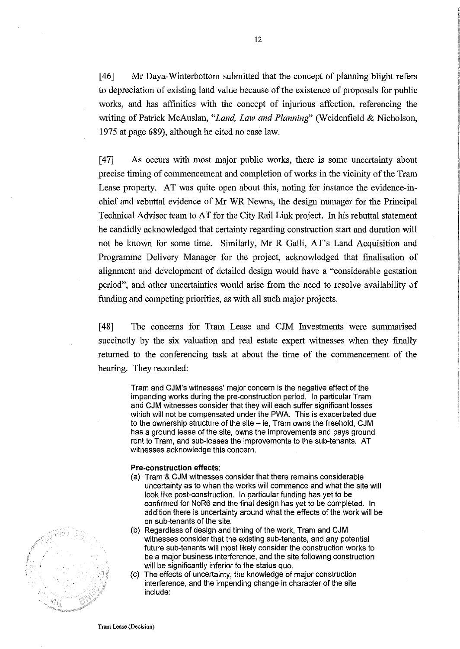[46] Mr Daya-Winterbottom submitted that the concept of planning blight refers to depreciation of existing land value because of the existence of proposals for public works, and has affinities with the concept of injurious affection, referencing the writing of Patrick McAuslan, *"Land, Law and Planning'* (Weidenfield & Nicholson, 1975 at page 689), although he cited no case law.

[47] As occurs with most major public works, there is some uncertainty about precise timing of commencement and completion of works in the vicinity of the Tram Lease property. AT was quite open about this, noting for instance the evidence-inchief and rebuttal evidence of Mr WR Newns, the design manager for the Principal Technical Advisor team to AT for the City Rail Link project. In his rebuttal statement he candidly acknowledged that certainty regarding construction start and duration will not be known for some time. Similarly, Mr R Galli, AT's Land Acquisition and Programme Delivery Manager for the project, acknowledged that finalisation of alignment and development of detailed design would have a "considerable gestation period", and other uncertainties would arise from the need to resolve availability of funding and competing priorities, as with all such major projects.

[48] The concerns for Tram Lease and CJM Investments were summarised succinctly by the six valuation and real estate expert witnesses when they finally returned to the conferencing task at about the time of the commencement of the hearing. They recorded:

> Tram and CJM's witnesses' major concern is the negative effect of the impending works during the pre-construction period. In particular Tram and CJM witnesses consider that they will each suffer significant losses which will not be compensated under the PWA. This is exacerbated due to the ownership structure of the site - ie, Tram owns the freehold, CJM has a ground lease of the site, owns the improvements and pays ground rent to Tram, and sub-leases the improvements to the sub-tenants. AT witnesses acknowledge this concern.

#### Pre-construction effects:

- (a) Tram & CJM witnesses consider that there remains considerable uncertainty as to when the works will commence and what the site will look like post-construction. In particular funding has yet to be confirmed for NoR6 and the final design has yet to be completed. In addition there is uncertainty around what the effects of the work will be on SUb-tenants of the site.
- (b) Regardless of design and timing of the work, Tram and CJM witnesses consider that the existing sub-tenants, and any potential future sub-tenants will most likely consider the construction works to be a major business interference, and the site following construction will be significantly inferior to the status quo,
- (c) The effects of uncertainty, the knowledge of major construction interference, and the impending change in character of the site include:

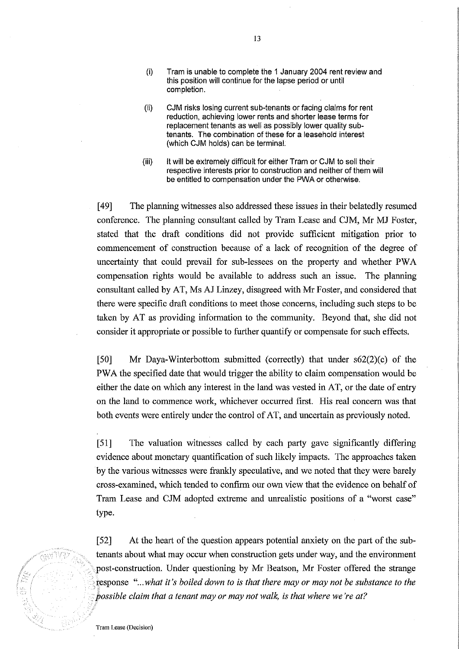- (i) Tram is unable to complete the 1 January 2004 rent review and this position will continue for the lapse period or until completion.
- (ii) CJM risks losing current sub-tenants or facing claims for rent reduction, achieving lower rents and shorter lease terms for replacement tenants as well as possibly lower quality subtenants. The combination of these for a leasehold interest (which CJM holds) can be terminal.
- (iii) It will be extremely difficult for either Tram or CJM to sell their respective interests prior to construction and neither of them will be entitled to compensation under the PWA or otherwise.

[49] The planning witnesses also addressed these issues in their belatedly resumed conference. The planning consultant called by Tram Lease and CJM, Mr MJ Foster, stated that the draft conditions did not provide sufficient mitigation prior to commencement of construction because of a lack of recognition of the degree of uncertainty that could prevail for sub-lessees on the property and whether PWA compensation rights would be available to address such an issue. The planning consultant called by AT, Ms AJ Linzey, disagreed with Mr Foster, and considered that there were specific draft conditions to meet those concerns, including such steps to be taken by AT as providing information to the community. Beyond that, she did not consider it appropriate or possible to further quantify or compensate for such effects.

[50] Mr Daya-Winterbottom submitted (correctly) that under  $s62(2)(c)$  of the PWA the specified date that would trigger the ability to claim compensation would be either the date on which any interest in the land was vested in AT, or the date of entry on the land to commence work, whichever occurred first. His real concern was that both events were entirely under the control of AT, and uncertain as previously noted.

[51] The valuation witnesses called by each party gave significantly differing evidence about monetary quantification of such likely impacts. The approaches taken by the various witnesses were frankly speculative, and we noted that they were barely cross-examined, which tended to confirm our own view that the evidence on behalf of Tram Lease and CJM adopted extreme and unrealistic positions of a "worst case" type.

[52] At the heart of the question appears potential anxiety on the part of the subtenants about what may occur when construction gets under way, and the environment post-construction. Under questioning by Mr Beatson, Mr Foster offered the strange response "...what it's boiled down to is that there may or may not be substance to the possible claim that a tenant may or may not walk, is that where we're at?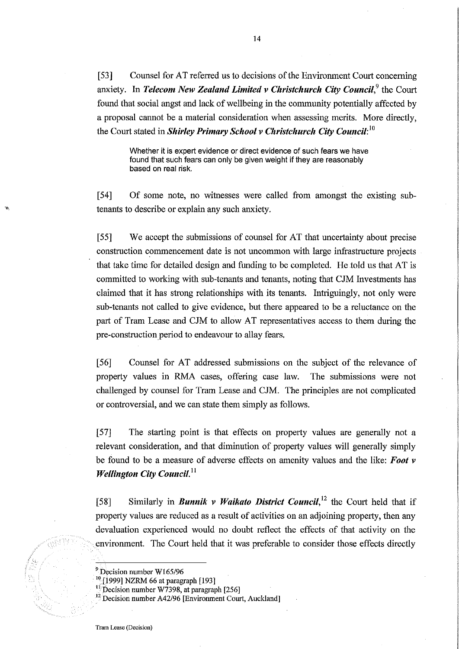[53] Counsel for AT referred us to decisions of the Environment Court concerning anxiety. In *Telecom New Zealand Limited v Christchurch City Council*,<sup>9</sup> the Court found that social angst and lack of wellbeing in the community potentially affected by a proposal cannot be a material consideration when assessing merits. More directly, the Court stated in *Shirley Primary School v Christchurch City Council*:<sup>10</sup>

Whether it is expert evidence or direct evidence of such fears we have found that such fears can only be given weight if they are reasonably based on real risk.

[54] Of some note, no witnesses were called from amongst the existing subtenants to describe or explain any such anxiety.

[55] We accept the submissions of counsel for AT that uncertainty about precise construction conunencement date is not uncommon with large infrastructure projects that take time for detailed design and funding to be completed. He told us that AT is committed to working with sub-tenants and tenants, noting that CJM Investments has claimed that it has strong relationships with its tenants. Intriguingly, not only were sub-tenants not called to give evidence, but there appeared to be a reluctance on the part of Tram Lease and CJM to allow AT representatives access to them during the pre-construction period to endeavour to allay fears.

[56] Counsel for AT addressed submissions on the subject of the relevance of property values in RMA cases, offering case law. The submissions were not challenged by counsel for Tram Lease and CJM. The principles are not complicated or controversial, and we can state them simply as follows.

[57] The starting point is that effects on property values are generally not a relevant consideration, and that diminution of property values will generally simply be found to be a measure of adverse effects on amenity values and the like: *Foot v Wellington City Council.*<sup>11</sup>

[58] Similarly in *Bunnik v Waikato District Council,12* the Court held that if property values are reduced as a result of activities on an adjoining property, then any devaluation experienced would no doubt reflect the effects of that activity on the environment. The Court held that it was preferable to consider those effects directly

<sup>9</sup> Decision number W165/96

<sup>&</sup>lt;sup>10</sup> [1999] NZRM 66 at paragraph [193]

 $\frac{15}{10}$  Decision number W7398, at paragraph [256]

<sup>&</sup>lt;sup>12</sup> Decision number A42/96 [Environment Court, Auckland]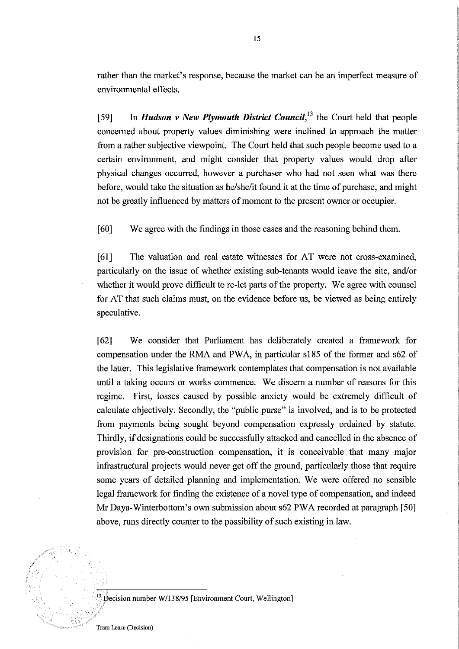rather than the market's response, because the market can be an imperfect measure of enviromnental effects.

[59] In *Hudson v New Plymouth District Council,13* the Court held that people concerned about property values diminishing were inclined to approach the matter from a rather subjective viewpoint. The Court held that such people become used to a certain environment, and might consider that property values would drop after physical changes occurred, however a purchaser who had not seen what was there before, would take the situation as he/she/it found it at the time of purchase, and might not be greatly influenced by matters of moment to the present owner or occupier.

[60] We agree with the findings in those cases and the reasoning behind them.

[61] The valuation and real estate witnesses for AT were not cross-examined, particularly on the issue of whether existing sub-tenants would leave the site, and/or whether it would prove difficult to re-let parts of the property. We agree with counsel for AT that such claims must, on the evidence before us, be viewed as being entirely speculative.

[62] We consider that Parliament has deliberately created a framework for compensation under the RMA and PWA, in particular sl85 of the former and s62 of the latter. This legislative framework contemplates that compensation is not available until a taking occurs or works commence. We discern a number of reasons for this regime. First, losses caused by possible anxiety would be extremely difficult of calculate objectively. Secondly, the "public purse" is involved, and is to be protected from payments being sought beyond compensation expressly ordained by statute. Thirdly, if designations could be successfully attacked and cancelled in the absence of provision for pre-construction compensation, it is conceivable that many major infrastructural projects would never get off the ground, particularly those that require some years of detailed planning and implementation. We were offered no sensible legal framework for finding the existence of a novel type of compensation, and indeed Mr Daya-Winterbottom's own submission about s62 PWA recorded at paragraph [50] above, runs directly counter to the possibility of such existing in law.



 $^{13}$  Decision number W/138/95 [Environment Court, Wellington]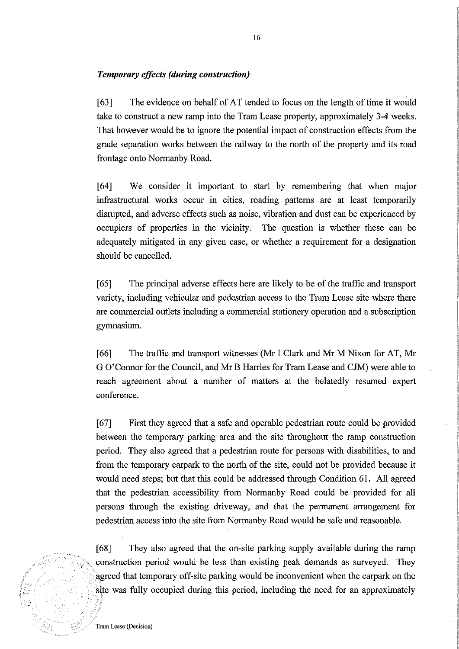# *Temporary effects (during construction)*

[63] The evidence on behalf of AT tended to focus on the length of time it would take to construct a new ramp into the Tram Lease property, approximately 3-4 weeks. That however would be to ignore the potential impact of construction effects from the grade separation works between the railway to the north of the property and its road frontage onto Normanby Road.

[64] We consider it important to start by remembering that when major infrastructural works occur in cities, roading patterns are at least temporarily disrupted, and adverse effects such as noise, vibration and dust can be experienced by occupiers of properties in the vicinity. The question is whether these can be adequately mitigated in any given case, or whether a requirement for a designation should be cancelled.

[65] The principal adverse effects here are likely to be of the traffic and transport variety, including vehicular and pedestrian access to the Tram Lease site where there are commercial outlets including a commercial stationery operation and a subscription gymnasium.

[66] The traffic and transport witnesses (Mr I Clark and Mr M Nixon for AT, Mr G O'Connor for the Council, and Mr B Harries for Tram Lease and CJM) were able to reach agreement about a number of matters at the belatedly resumed expert conference.

[67] First they agreed that a safe and operable pedestrian route could be provided between the temporary parking area and the site throughout the ramp construction period. They also agreed that a pedestrian route for persons with disabilities, to and from the temporary carpark to the north of the site, could not be provided because it would need steps; but that this could be addressed through Condition 61. All agreed that the pedestrian accessibility from Normanby Road could be provided for all persons through the existing driveway, and that the permanent arrangement for pedestrian access into the site from Normanby Road would be safe and reasonable.

[68] They also agreed that the on-site parking supply available during the ramp construction period would be less than existing peak demands as surveyed. They agreed that temporary off-site parking would be inconvenient when the carpark on the site was fully occupied during this period, including the need for an approximately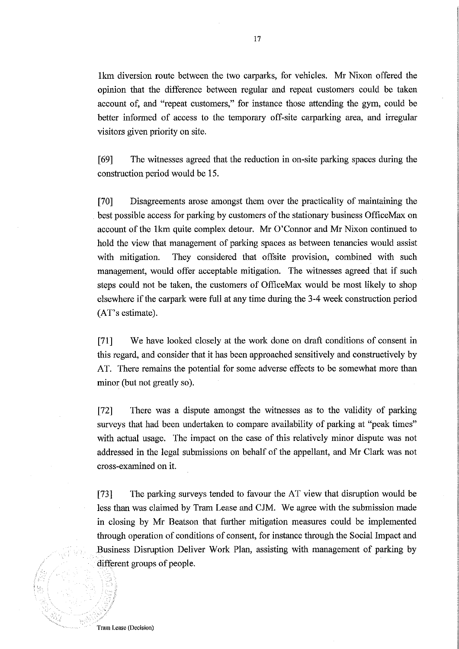lkm diversion route between the two carparks, for vehicles. Mr Nixon offered the opinion that the difference between regular and repeat customers could be taken account of, and "repeat customers," for instance those attending the gym, could be better informed of access to the temporary off-site carparking area, and irregular visitors given priority on site.

[69] The witnesses agreed that the reduction in on-site parking spaces during the construction period would be 15.

[70] Disagreements arose amongst them over the practicality of maintaining the best possible access for parking by customers of the stationary business OfficeMax on account of the 1km quite complex detour. Mr O'Connor and Mr Nixon continued to hold the view that management of parking spaces as between tenancies would assist with mitigation. They considered that offsite provision, combined with such management, would offer acceptable mitigation. The witnesses agreed that if such steps could not be taken, the customers of OfficeMax would be most likely to shop elsewhere if the carpark were full at any time during the 3-4 week construction period (AT's estimate).

[71] We have looked closely at the work done on draft conditions of consent in this regard, and consider that it has been approached sensitively and constructively by AT. There remains the potential for some adverse effects to be somewhat more than minor (but not greatly so).

[72] There was a dispute amongst the witnesses as to the validity of parking surveys that had been undertaken to compare availability of parking at "peak times" with actual usage. The impact on the case of this relatively minor dispute was not addressed in the legal submissions on behalf of the appellant, and Mr Clark was not cross-examined on it.

[73] The parking surveys tended to favour the AT view that disruption would be less than was claimed by Tram Lease and CJM. We agree with the submission made in closing by Mr Beatson that further mitigation measures could be implemented through operation of conditions of consent, for instance through the Social Impact and Business Disruption Deliver Work Plan, assisting with management of parking by different groups of people.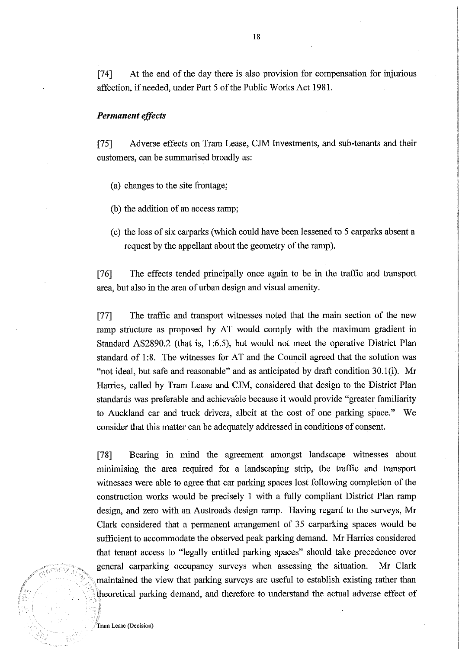[74] At the end of the day there is also provision for compensation for injurious affection, if needed, under Part 5 of the Public Works Act 1981.

# *Permanent effects*

[75] Adverse effects on Tram Lease, CJM Investments, and sub-tenants and their customers, can be summarised broadly as:

- (a) changes to the site frontage;
- (b) the addition of an access ramp;
- (c) the loss of six carparks (which could have been lessened to 5 carparks absent a request by the appellant about the geometry of the ramp).

[76] The effects tended principally once again to be in the traffic and transport area, but also in the area of urban design and visual amenity.

[77] The traffic and transport witnesses noted that the main section of the new ramp structure as proposed by AT would comply with the maximum gradient in Standard AS2890.2 (that is, 1:6.5), but would not meet the operative District Plan standard of 1:8. The witnesses for AT and the Council agreed that the solution was "not ideal, but safe and reasonable" and as anticipated by draft condition 30.l(i). Mr Harries, called by Tram Lease and CJM, considered that design to the District Plan standards was preferable and achievable because it would provide "greater familiarity to Auckland car and truck drivers, albeit at the cost of one parking space." We consider that this matter can be adequately addressed in conditions of consent.

.<br>tsaaan 1

[78] Bearing in mind the agreement amongst landscape witnesses about minimising the area required for a landscaping strip, the traffic and transport witnesses were able to agree that car parking spaces lost following completion of the construction works would be precisely 1 with a fully compliant District Plan ramp design, and zero with an Austroads design ramp. Having regard to the surveys, Mr Clark considered that a permanent arrangement of 35 carparking spaces would be sufficient to accommodate the observed peak parking demand. Mr Harries considered that tenant access to "legally entitled parking spaces" should take precedence over general carparking occupancy surveys when assessing the situation. Mr Clark maintained the view that parking surveys are useful to establish existing rather than theoretical parking demand, and therefore to understand the actual adverse effect of

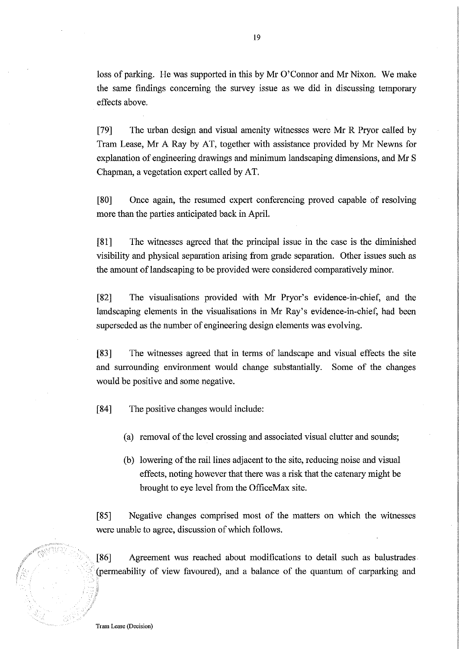loss of parking. He was supported in this by Mr 0' Connor and Mr Nixon. We make the same findings concerning the survey issue as we did in discussing temporary effects above.

[79] The urban design and visual amenity witnesses were Mr R Pryor called by Tram Lease, Mr A Ray by AT, together with assistance provided by Mr Newns for explanation of engineering drawings and minimum landscaping dimensions, and Mr S Chapman, a vegetation expert called by AT.

[80] Once again, the resumed expert conferencing proved capable of resolving more than the parties anticipated back in April.

[81] The witnesses agreed that the principal issue in the case is the diminished visibility and physical separation arising from grade separation. Other issues such as the amount of landscaping to be provided were considered comparatively minor.

[82] The visualisations provided with Mr Pryor's evidence-in-chief, and the landscaping elements in the visualisations in Mr Ray's evidence-in-chief, had been superseded as the number of engineering design elements was evolving.

[83] The witnesses agreed that in terms of landscape and visual effects the site and surrounding enviromnent would change substantially. Some of the changes would be positive and some negative.

[84] The positive changes would include:

- (a) removal of the level crossing and associated visual clutter and sounds;
- (b) lowering of the rail lines adjacent to the site, reducing noise and visual effects, noting however that there was a risk that the catenary might be brought to eye level from the OfficeMax site.

[85] Negative changes comprised most of the matters on which the witnesses were unable to agree, discussion of which follows.

[86] Agreement was reached about modifications to detail such as balustrades . (permeability of view favoured), and a balance of the quantum of carparking and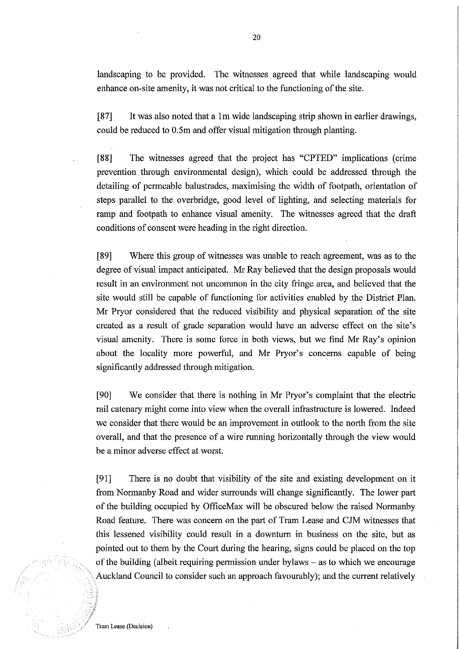landscaping to be provided. The witnesses agreed that while landscaping would enhance on-site amenity, it was not critical to the functioning of the site.

[87] It was also noted that a 1m wide landscaping strip shown in earlier drawings, could be reduced to O.Sm and offer visual mitigation through planting.

[88] The witnesses agreed that the project has "CPTED" implications (crime prevention. through environmental design), which could be addressed through the detailing of permeable balustrades, maximising the width of footpath, orientation of steps parallel to the overbridge, good level of lighting, and selecting materials for ramp and footpath to enhance visual amenity. The witnesses agreed that the draft conditions of consent were heading in the right direction.

[89] Where this group of witnesses was unable to reach agreement, was as to the degree of visual impact anticipated. Mr Ray believed that the design proposals would result in an environment not uncommon in the city fringe area, and believed that the site would still be capable of functioning for activities enabled by the District Plan. Mr Pryor considered that the reduced visibility and physical separation of the site created as a result of grade separation would have an adverse effect on the site's visual amenity. There is some force in both views, but we find Mr Ray's opinion about the locality more powerful, and Mr Pryor's concerns capable of being significantly addressed through mitigation.

[90] We consider that there is nothing in Mr Pryor's complaint that the electric rail catenary might come into view when the overall infrastructure is lowered. Indeed we consider that there would be an improvement in outlook to the north from the site overall, and that the presence of a wire running horizontally through the view would be a minor adverse effect at worst.

[91] There is no doubt that visibility of the site and existing development on it from Normanby Road and wider surrounds will change significantly. The lower part of the building occupied by OfficeMax will be obscured below the raised Normanby Road feature. There was concern on the part of Tram Lease and CJM witnesses that this lessened visibility could result in a downturn in business on the site, but as pointed out to them by the Court during the hearing, signs could be placed on the top of the building (albeit requiring permission under bylaws - as to which we encourage Auckland Council to consider such an approach favourably); and the current relatively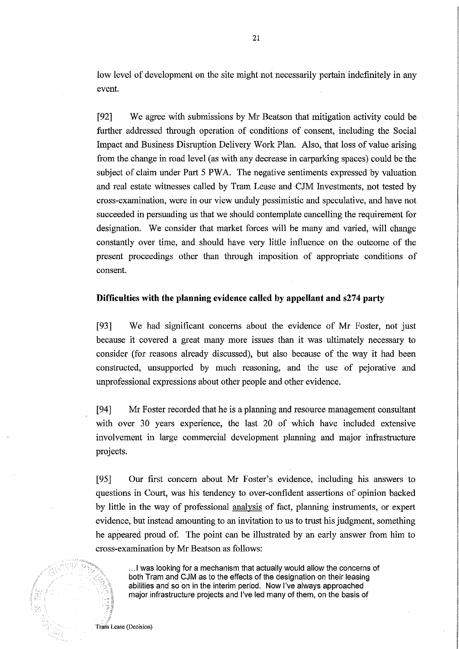low level of development on the site might not necessarily pertain indefinitely in any event.

[92] We agree with submissions by Mr Beatson that mitigation activity could be further addressed through operation of conditions of consent, including the Social Impact and Business Disruption Delivery Work Plan. Also, that loss of value arising from the change in road level (as with any decrease in carparking spaces) could be the subject of claim under Part 5 PWA. The negative sentiments expressed by valuation and real estate witnesses called by Tram Lease and CJM Investments, not tested by cross-examination, were in our view unduly pessimistic and speculative, and have not succeeded in persuading us that we should contemplate cancelling the requirement for designation. We consider that market forces will be many and varied, will change constantly over time, and should have very little influence on the outcome of the present proceedings other than through imposition of appropriate conditions of consent.

# **Difficulties with the planning evidence called by appellant and** s274 **party**

[93] We had significant concerns about the evidence of Mr Foster, not just because it covered a great many more issues than it was ultimately necessary to consider (for reasons already discussed), but also because of the way it had been constructed, unsupported by much reasoning, and the use of pejorative and unprofessional expressions about other people and other evidence.

[94] Mr Foster recorded that he is a planning and resource management consultant with over 30 years experience, the last 20 of which have included extensive involvement in large commercial development planning and major infrastructure projects.

[95] Our first concern about Mr Foster's evidence, including his answers to questions in Court, was his tendency to over-confident assertions of opinion backed by little in the way of professional analysis of fact, planning instruments, or expert evidence, but instead amounting to an invitation to us to trust his judgment, something he appeared proud of. The point can be illustrated by an early answer from him to cross-examination by Mr Beatson as follows:

... 1 was looking for a mechanism that actually would allow the concerns of both Tram and CJM as to the effects of the designation on their leasing abilities and so on in the interim period. Now I've always approached major infrastructure projects and I've led many of them, on the basis of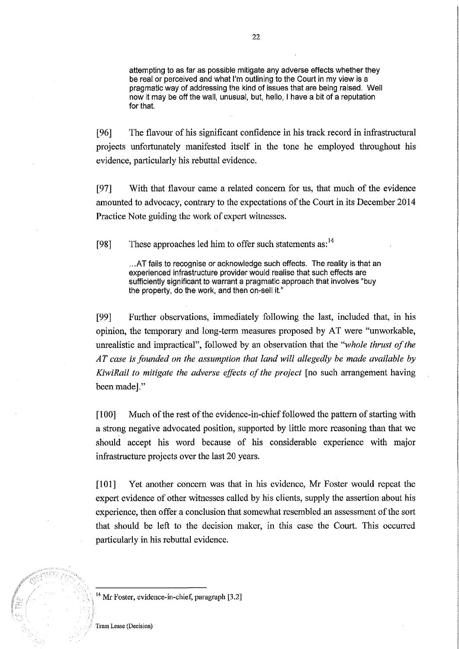attempting to as far as possible mitigate any adverse effects whether they be real or perceived and what I'm outlining to the Court in my view is a pragmatic way of addressing the kind of issues that are being raised. Well now it may be off the wall, unusual, but, hello, I have a bit of a reputation for that.

[96] The flavour of his significant confidence in his track record in infrastructural projects unfortunately manifested itself in the tone he employed throughout his evidence, particularly his rebuttal evidence.

[97] With that flavour came a related concern for us, that much of the evidence amounted to advocacy, contrary to the expectations of the Court in its December 2014 Practice Note guiding the work of expert witnesses.

[98] These approaches led him to offer such statements as:<sup>14</sup>

... AT fails to recognise or acknowledge such effects. The reality is that an experienced infrastructure provider would realise that such effects are sufficiently significant to warrant a pragmatic approach that involves "buy the property, do the work, and then on-sell it."

[99] Further observations, immediately following the last, included that, in his opinion, the temporary and long-term measures proposed by AT were "unworkable, unrealistic and impractical", followed by an observation that the *"whole thrust of the AT case* is *founded on the assumption that land will allegedly be made available by KiwiRail to mitigate the adverse effects of the project* [no such arrangement having been made]."

[100] Much of the rest of the evidence-in-chief followed the pattern of starting with a strong negative advocated position, supported by little more reasoning than that we should accept his word because of his considerable experience with major infrastructure projects over the last 20 years.

[101] Yet another concern was that in his evidence, Mr Foster would repeat the expert evidence of other witnesses called by his clients, supply the assertion about his experience, then offer a conclusion that somewhat resembled an assessment of the sort that should be left to the decision maker, in this case the Court. This occurred particularly in his rebuttal evidence.

 $^{14}$  Mr Foster, evidence-in-chief, paragraph [3.2]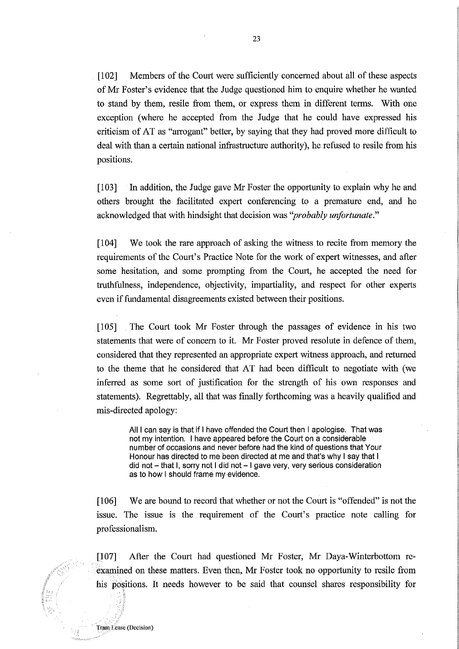**[102]** Members of the Court were sufficiently concerned about all of these aspects ofMr Foster's evidence that the Judge questioned him to enquire whether he waoted to stand by them, resile from them, or express them in different terms. With one exception (where he accepted from the Judge that he could have expressed his criticism of AT as "arrogant" better, by saying that they had proved more difficult to deal with than a certain national infrastructure authority), he refused to resile from his positions.

[103] In addition, the Judge gave Mr Foster the opportunity to explain why he and others brought the facilitated expert conferencing to a premature end, and he acknowledged that with hindsight that decision was *"probably unfortunate."* 

[104] We took the rare approach of asking the witness to recite from memory the requirements of the Court's Practice Note for the work of expert witnesses, and after some hesitation, and some prompting from the Court, he accepted the need for truthfulness, independence, objectivity, impartiality, and respect for other experts even if fundamental disagreements existed between their positions.

**[105]** The Court took Mr Foster through the passages of evidence in his two statements that were of concern to it. Mr Foster proved resolute in defence of them, considered that they represented an appropriate expert witness approach, and returned to the theme that he considered that AT had been difficult to negotiate with (we inferred as some sort of justification for the strength of his own responses and statements). Regrettably, all that was finally forthcoming was a heavily qualified and mis-directed apology:

All I can say is that if I have offended the Court then I apologise. That was not my intention. I have appeared before the Court on a considerable number of occasions and never before had the kind of questions that Your Honour has directed to me been directed at me and that's why I say that I  $did$  not  $-$  that I, sorry not I did not  $-1$  gave very, very serious consideration as to how I should frame my evidence.

[106] We are bound to record that whether or not the Court is "offended" is not the issue. The issue is the requirement of the Court's practice note calling for professionalism.

[107] After the Court had questioned Mr Foster, Mr Daya-Winterbottom reexamined on these matters. Even then, Mr Foster took no opportunity to resile from his positions. It needs however to be said that counsel shares responsibility for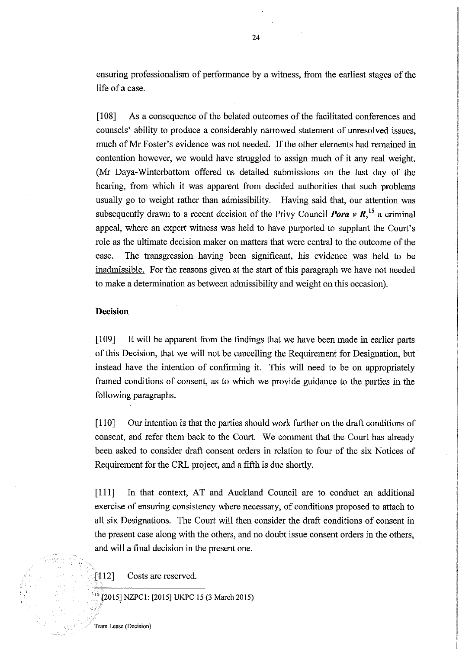ensuring professionalism of perfonnance by a witness, from the earliest stages of the life of a case.

[108] As a consequence of the belated outcomes of the facilitated conferences and counsels' ability to produce a considerably narrowed statement of unresolved issues, much of Mr Foster's evidence was not needed. If the other elements had remained in contention however, we would have struggled to assign much of it any real weight. (Mr Daya-Winterbottom offered us detailed submissions on the last day of the hearing, from which it was apparent from decided authorities that such problems usually go to weight rather than admissibility. Having said that, our attention was subsequently drawn to a recent decision of the Privy Council **Pora v R**, <sup>15</sup> a criminal appeal, where an expert witness was held to have purported to supplant the Court's role as the ultimate decision maker on matters that were central to the outcome of the case. The transgression having been significant, his evidence was held to be inadmissible. For the reasons given at the start of this paragraph we have not needed to make a detennination as between admissibility and weight on this occasion).

# **Decision**

[109] It will be apparent from the findings that we have been made in earlier parts of this Decision, that we will not be cancelling the Requirement for Designation, but instead have the intention of confirming it. This will need to be on appropriately framed conditions of consent, as to which we provide guidance to the parties in the following paragraphs.

[110] Our intention is that the parties should work further on the draft conditions of consent, and refer them back to the Court. We comment that the Court has already been asked to consider draft consent orders in relation to four of the six Notices of Requirement for the CRL project, and a fifth is due shortly.

[111] In that context, AT and Auckland Council are to conduct an additional exercise of ensuring consistency where necessary, of conditions proposed to attach to all six Designations. The Court will then consider the draft conditions of consent in the present case along with the others, and no doubt issue consent orders in the others, and will a final decision in the present one.

[112] Costs are reserved.

15[2015] NZPC 1: [2015] UKPC 15 (3 March 2015)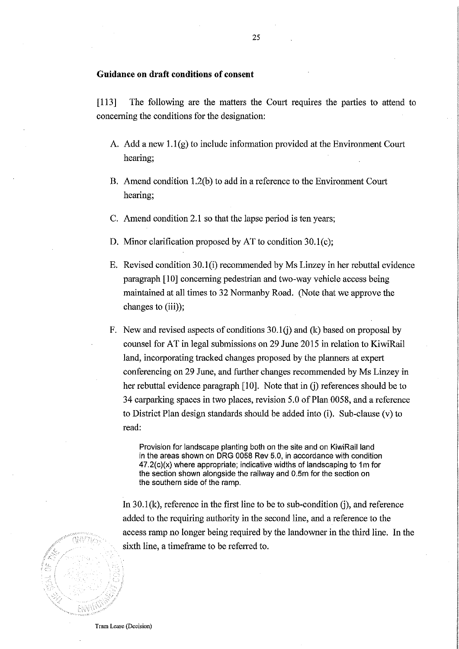# **Guidance on draft conditions of consent**

[113] The following are the matters the Court requires the parties to attend to concerning the conditions for the designation:

- A. Add a new  $1.1(g)$  to include information provided at the Environment Court hearing;
- B. Amend condition 1.2(b) to add in a reference to the Environment Court hearing;
- C. Amend condition 2.1 so that the lapse period is ten years;
- D. Minor clarification proposed by AT to condition 30.1(c);
- E. Revised condition 30.1(i) recommended by Ms Linzey in her rebuttal evidence paragraph [10] conceruing pedestrian and two-way vehicle access being maintained at all times to 32 Normanby Road. (Note that we approve the changes to (iii));
- F. New and revised aspects of conditions  $30.1(i)$  and (k) based on proposal by counsel for AT in legal submissions on 29 June 2015 in relation to KiwiRail land, incorporating tracked changes proposed by the plauners at expert conferencing on 29 June, and further changes recommended by Ms Linzey in her rebuttal evidence paragraph  $[10]$ . Note that in  $(i)$  references should be to 34 carparking spaces in two places, revision 5.0 of Plan 0058, and a reference to District Plan design standards should be added into (i). Sub-clause (v) to read:

Provision for landscape planting both on the site and on KiwiRail land in the areas shown on DRG 0058 Rev 5.0, in accordance with condition  $47.2(c)(x)$  where appropriate; indicative widths of landscaping to 1m for the section shown alongside the railway and 0.5m for the section on the southern side of the ramp.

In  $30.1$ (k), reference in the first line to be to sub-condition (i), and reference added to the requiring authority in the second line, and a reference to the access rmnp no longer being required by the landowner in the third line. In the sixth line, a timeframe to be referred to.

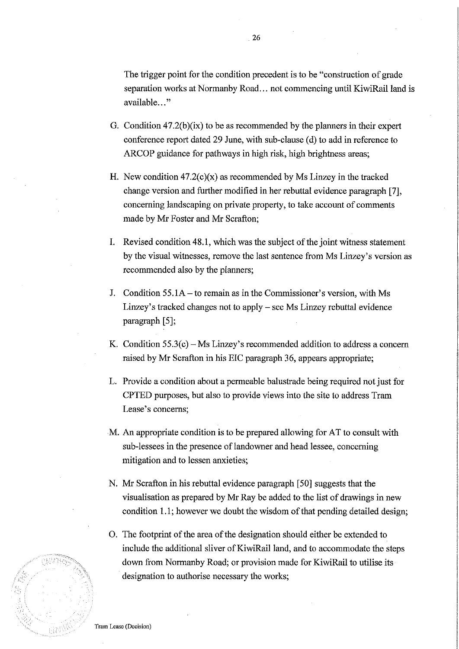The trigger point for the condition precedent is to be "construction of grade separation works at Normanby Road... not commencing until KiwiRail land is available..."

- G. Condition 47.2(b)(ix) to be as recommended by the planners in their expert conference report dated 29 June, with sub-clause (d) to add in reference to ARCOP guidance for pathways in high risk, high brightness areas;
- H. New condition  $47.2(c)(x)$  as recommended by Ms Linzey in the tracked change version and further modified in her rebuttal evidence paragraph [7], concerning landscaping on private property, to take account of comments made by Mr Foster and Mr Scrafton;
- I. Revised condition 48.1, which was the subject of the joint witness statement by the visual witnesses, remove the last sentence from Ms Linzey's version as recommended also by the planners;
- J. Condition 55.1A to remain as in the Commissioner's version, with Ms Linzey's tracked changes not to apply - see Ms Linzey rebuttal evidence paragraph [5];
- K. Condition  $55.3(c)$  Ms Linzey's recommended addition to address a concern raised by Mr Scrafton in his EIC paragraph 36, appears appropriate;
- L. Provide a condition about a permeable balustrade being required not just for CPTED purposes, but also to provide views into the site to address Tram Lease's concerns;
- M. An appropriate condition is to be prepared allowing for AT to consult with sub-lessees in the presence of landowner and head lessee, concerning mitigation and to lessen anxieties;
- N. Mr Scrafton in his rebuttal evidence paragraph [50] suggests that the visualisation as prepared by Mr Ray be added to the list of drawings in new condition 1.1; however we doubt the wisdom of that pending detailed design;
- O. The footprint of the area of the designation should either be extended to include the additional sliver of KiwiRail land, and to accommodate the steps down from Normanby Road; or provision made for KiwiRail to utilise its designation to authorise necessary the works;